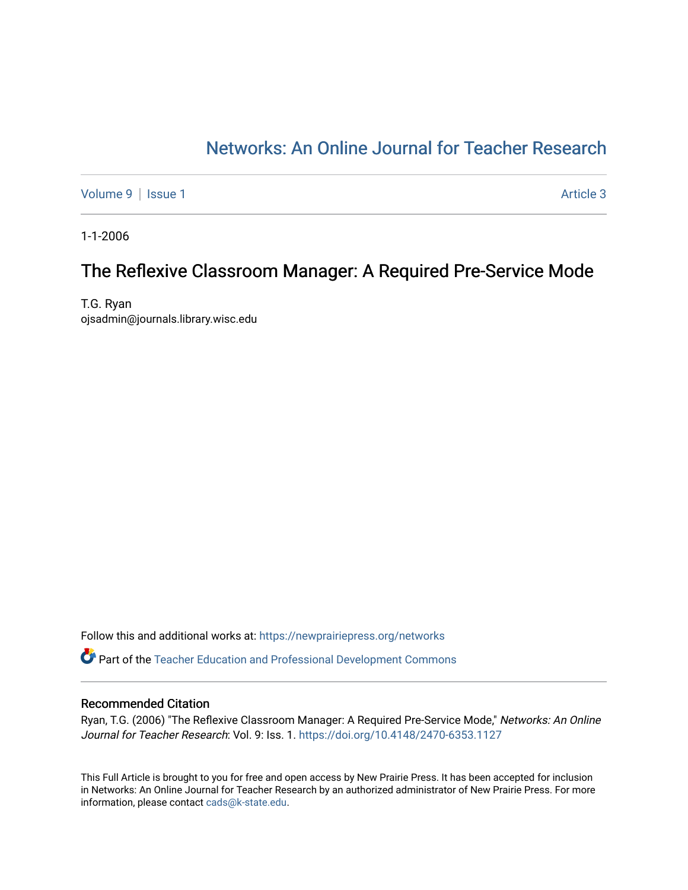## [Networks: An Online Journal for Teacher Research](https://newprairiepress.org/networks)

[Volume 9](https://newprairiepress.org/networks/vol9) | [Issue 1](https://newprairiepress.org/networks/vol9/iss1) Article 3

1-1-2006

## The Reflexive Classroom Manager: A Required Pre-Service Mode

T.G. Ryan ojsadmin@journals.library.wisc.edu

Follow this and additional works at: [https://newprairiepress.org/networks](https://newprairiepress.org/networks?utm_source=newprairiepress.org%2Fnetworks%2Fvol9%2Fiss1%2F3&utm_medium=PDF&utm_campaign=PDFCoverPages)

Part of the [Teacher Education and Professional Development Commons](http://network.bepress.com/hgg/discipline/803?utm_source=newprairiepress.org%2Fnetworks%2Fvol9%2Fiss1%2F3&utm_medium=PDF&utm_campaign=PDFCoverPages) 

#### Recommended Citation

Ryan, T.G. (2006) "The Reflexive Classroom Manager: A Required Pre-Service Mode," Networks: An Online Journal for Teacher Research: Vol. 9: Iss. 1.<https://doi.org/10.4148/2470-6353.1127>

This Full Article is brought to you for free and open access by New Prairie Press. It has been accepted for inclusion in Networks: An Online Journal for Teacher Research by an authorized administrator of New Prairie Press. For more information, please contact [cads@k-state.edu](mailto:cads@k-state.edu).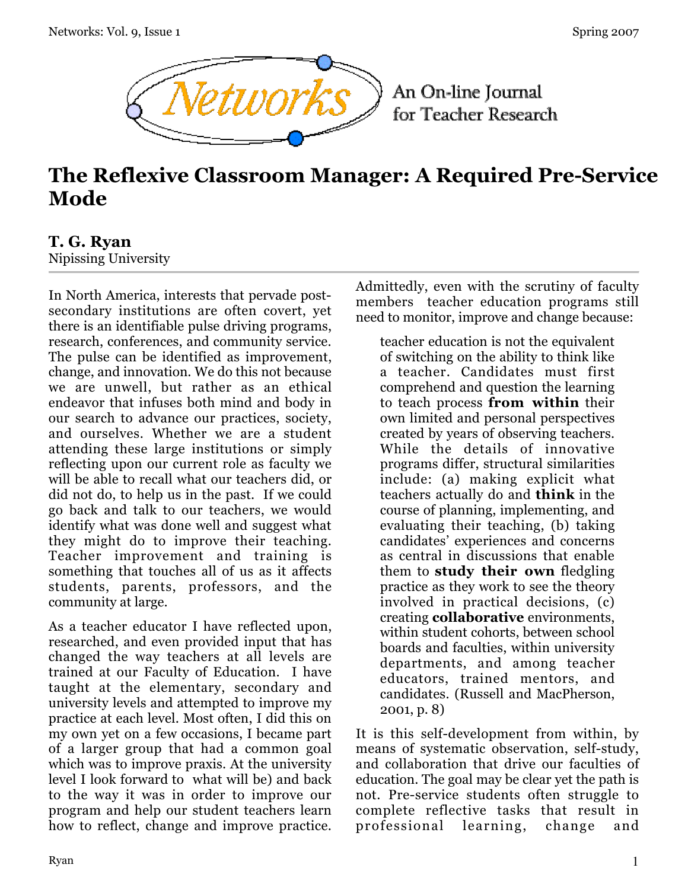

An On-line Journal for Teacher Research

# **The Reflexive Classroom Manager: A Required Pre-Service Mode**

### **T. G. Ryan**

Nipissing University

In North America, interests that pervade postsecondary institutions are often covert, yet there is an identifiable pulse driving programs, research, conferences, and community service. The pulse can be identified as improvement, change, and innovation. We do this not because we are unwell, but rather as an ethical endeavor that infuses both mind and body in our search to advance our practices, society, and ourselves. Whether we are a student attending these large institutions or simply reflecting upon our current role as faculty we will be able to recall what our teachers did, or did not do, to help us in the past. If we could go back and talk to our teachers, we would identify what was done well and suggest what they might do to improve their teaching. Teacher improvement and training is something that touches all of us as it affects students, parents, professors, and the community at large.

As a teacher educator I have reflected upon, researched, and even provided input that has changed the way teachers at all levels are trained at our Faculty of Education. I have taught at the elementary, secondary and university levels and attempted to improve my practice at each level. Most often, I did this on my own yet on a few occasions, I became part of a larger group that had a common goal which was to improve praxis. At the university level I look forward to what will be) and back to the way it was in order to improve our program and help our student teachers learn how to reflect, change and improve practice.

Admittedly, even with the scrutiny of faculty members teacher education programs still need to monitor, improve and change because:

teacher education is not the equivalent of switching on the ability to think like a teacher. Candidates must first comprehend and question the learning to teach process **from within** their own limited and personal perspectives created by years of observing teachers. While the details of innovative programs differ, structural similarities include: (a) making explicit what teachers actually do and **think** in the course of planning, implementing, and evaluating their teaching, (b) taking candidates' experiences and concerns as central in discussions that enable them to **study their own** fledgling practice as they work to see the theory involved in practical decisions, (c) creating **collaborative** environments, within student cohorts, between school boards and faculties, within university departments, and among teacher educators, trained mentors, and candidates. (Russell and MacPherson, 2001, p. 8)

It is this self-development from within, by means of systematic observation, self-study, and collaboration that drive our faculties of education. The goal may be clear yet the path is not. Pre-service students often struggle to complete reflective tasks that result in professional learning, change and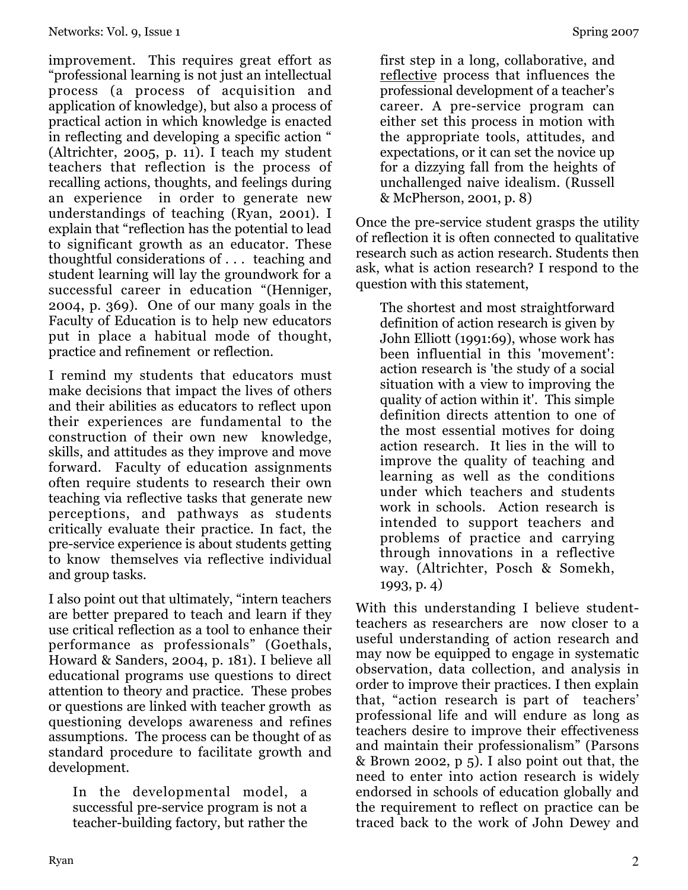improvement. This requires great effort as "professional learning is not just an intellectual process (a process of acquisition and application of knowledge), but also a process of practical action in which knowledge is enacted in reflecting and developing a specific action " (Altrichter, 2005, p. 11). I teach my student teachers that reflection is the process of recalling actions, thoughts, and feelings during an experience in order to generate new understandings of teaching (Ryan, 2001). I explain that "reflection has the potential to lead to significant growth as an educator. These thoughtful considerations of . . . teaching and student learning will lay the groundwork for a successful career in education "(Henniger, 2004, p. 369). One of our many goals in the Faculty of Education is to help new educators put in place a habitual mode of thought, practice and refinement or reflection.

I remind my students that educators must make decisions that impact the lives of others and their abilities as educators to reflect upon their experiences are fundamental to the construction of their own new knowledge, skills, and attitudes as they improve and move forward. Faculty of education assignments often require students to research their own teaching via reflective tasks that generate new perceptions, and pathways as students critically evaluate their practice. In fact, the pre-service experience is about students getting to know themselves via reflective individual and group tasks.

I also point out that ultimately, "intern teachers are better prepared to teach and learn if they use critical reflection as a tool to enhance their performance as professionals" (Goethals, Howard & Sanders, 2004, p. 181). I believe all educational programs use questions to direct attention to theory and practice. These probes or questions are linked with teacher growth as questioning develops awareness and refines assumptions. The process can be thought of as standard procedure to facilitate growth and development.

In the developmental model, a successful pre-service program is not a teacher-building factory, but rather the

first step in a long, collaborative, and reflective process that influences the professional development of a teacher's career. A pre-service program can either set this process in motion with the appropriate tools, attitudes, and expectations, or it can set the novice up for a dizzying fall from the heights of unchallenged naive idealism. (Russell & McPherson, 2001, p. 8)

Once the pre-service student grasps the utility of reflection it is often connected to qualitative research such as action research. Students then ask, what is action research? I respond to the question with this statement,

The shortest and most straightforward definition of action research is given by John Elliott (1991:69), whose work has been influential in this 'movement': action research is 'the study of a social situation with a view to improving the quality of action within it'. This simple definition directs attention to one of the most essential motives for doing action research. It lies in the will to improve the quality of teaching and learning as well as the conditions under which teachers and students work in schools. Action research is intended to support teachers and problems of practice and carrying through innovations in a reflective way. (Altrichter, Posch & Somekh, 1993, p. 4)

With this understanding I believe studentteachers as researchers are now closer to a useful understanding of action research and may now be equipped to engage in systematic observation, data collection, and analysis in order to improve their practices. I then explain that, "action research is part of teachers' professional life and will endure as long as teachers desire to improve their effectiveness and maintain their professionalism" (Parsons & Brown 2002, p 5). I also point out that, the need to enter into action research is widely endorsed in schools of education globally and the requirement to reflect on practice can be traced back to the work of John Dewey and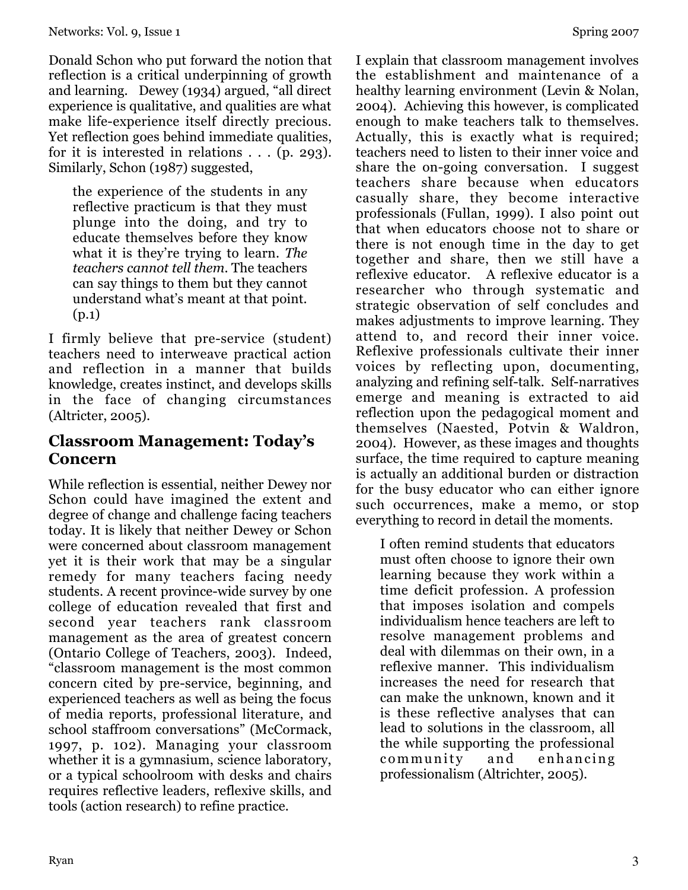Donald Schon who put forward the notion that reflection is a critical underpinning of growth and learning. Dewey (1934) argued, "all direct experience is qualitative, and qualities are what make life-experience itself directly precious. Yet reflection goes behind immediate qualities, for it is interested in relations  $\ldots$  (p. 293). Similarly, Schon (1987) suggested,

the experience of the students in any reflective practicum is that they must plunge into the doing, and try to educate themselves before they know what it is they're trying to learn. *The teachers cannot tell them*. The teachers can say things to them but they cannot understand what's meant at that point. (p.1)

I firmly believe that pre-service (student) teachers need to interweave practical action and reflection in a manner that builds knowledge, creates instinct, and develops skills in the face of changing circumstances (Altricter, 2005).

### **Classroom Management: Today's Concern**

While reflection is essential, neither Dewey nor Schon could have imagined the extent and degree of change and challenge facing teachers today. It is likely that neither Dewey or Schon were concerned about classroom management yet it is their work that may be a singular remedy for many teachers facing needy students. A recent province-wide survey by one college of education revealed that first and second year teachers rank classroom management as the area of greatest concern (Ontario College of Teachers, 2003). Indeed, "classroom management is the most common concern cited by pre-service, beginning, and experienced teachers as well as being the focus of media reports, professional literature, and school staffroom conversations" (McCormack, 1997, p. 102). Managing your classroom whether it is a gymnasium, science laboratory, or a typical schoolroom with desks and chairs requires reflective leaders, reflexive skills, and tools (action research) to refine practice.

I explain that classroom management involves the establishment and maintenance of a healthy learning environment (Levin & Nolan, 2004). Achieving this however, is complicated enough to make teachers talk to themselves. Actually, this is exactly what is required; teachers need to listen to their inner voice and share the on-going conversation. I suggest teachers share because when educators casually share, they become interactive professionals (Fullan, 1999). I also point out that when educators choose not to share or there is not enough time in the day to get together and share, then we still have a reflexive educator. A reflexive educator is a researcher who through systematic and strategic observation of self concludes and makes adjustments to improve learning. They attend to, and record their inner voice. Reflexive professionals cultivate their inner voices by reflecting upon, documenting, analyzing and refining self-talk. Self-narratives emerge and meaning is extracted to aid reflection upon the pedagogical moment and themselves (Naested, Potvin & Waldron, 2004). However, as these images and thoughts surface, the time required to capture meaning is actually an additional burden or distraction for the busy educator who can either ignore such occurrences, make a memo, or stop everything to record in detail the moments.

I often remind students that educators must often choose to ignore their own learning because they work within a time deficit profession. A profession that imposes isolation and compels individualism hence teachers are left to resolve management problems and deal with dilemmas on their own, in a reflexive manner. This individualism increases the need for research that can make the unknown, known and it is these reflective analyses that can lead to solutions in the classroom, all the while supporting the professional community and enhancing professionalism (Altrichter, 2005).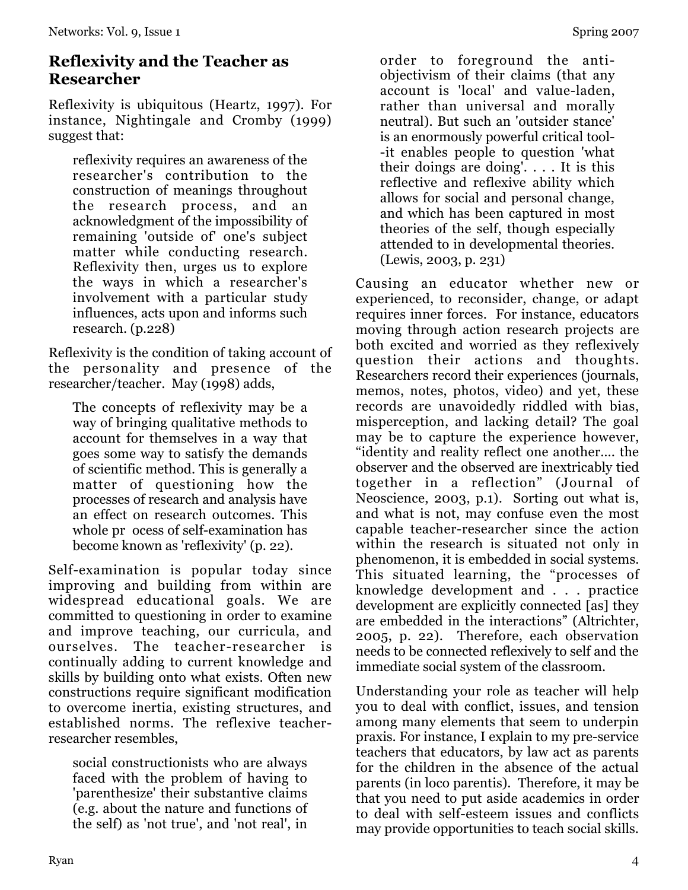## **Reflexivity and the Teacher as Researcher**

Reflexivity is ubiquitous (Heartz, 1997). For instance, Nightingale and Cromby (1999) suggest that:

reflexivity requires an awareness of the researcher's contribution to the construction of meanings throughout the research process, and an acknowledgment of the impossibility of remaining 'outside of' one's subject matter while conducting research. Reflexivity then, urges us to explore the ways in which a researcher's involvement with a particular study influences, acts upon and informs such research. (p.228)

Reflexivity is the condition of taking account of the personality and presence of the researcher/teacher. May (1998) adds,

The concepts of reflexivity may be a way of bringing qualitative methods to account for themselves in a way that goes some way to satisfy the demands of scientific method. This is generally a matter of questioning how the processes of research and analysis have an effect on research outcomes. This whole pr ocess of self-examination has become known as 'reflexivity' (p. 22).

Self-examination is popular today since improving and building from within are widespread educational goals. We are committed to questioning in order to examine and improve teaching, our curricula, and ourselves. The teacher-researcher is continually adding to current knowledge and skills by building onto what exists. Often new constructions require significant modification to overcome inertia, existing structures, and established norms. The reflexive teacherresearcher resembles,

social constructionists who are always faced with the problem of having to 'parenthesize' their substantive claims (e.g. about the nature and functions of the self) as 'not true', and 'not real', in

order to foreground the antiobjectivism of their claims (that any account is 'local' and value-laden, rather than universal and morally neutral). But such an 'outsider stance' is an enormously powerful critical tool- -it enables people to question 'what their doings are doing'. . . . It is this reflective and reflexive ability which allows for social and personal change, and which has been captured in most theories of the self, though especially attended to in developmental theories. (Lewis, 2003, p. 231)

Causing an educator whether new or experienced, to reconsider, change, or adapt requires inner forces. For instance, educators moving through action research projects are both excited and worried as they reflexively question their actions and thoughts. Researchers record their experiences (journals, memos, notes, photos, video) and yet, these records are unavoidedly riddled with bias, misperception, and lacking detail? The goal may be to capture the experience however, "identity and reality reflect one another…. the observer and the observed are inextricably tied together in a reflection" (Journal of Neoscience, 2003, p.1). Sorting out what is, and what is not, may confuse even the most capable teacher-researcher since the action within the research is situated not only in phenomenon, it is embedded in social systems. This situated learning, the "processes of knowledge development and . . . practice development are explicitly connected [as] they are embedded in the interactions" (Altrichter, 2005, p. 22). Therefore, each observation needs to be connected reflexively to self and the immediate social system of the classroom.

Understanding your role as teacher will help you to deal with conflict, issues, and tension among many elements that seem to underpin praxis. For instance, I explain to my pre-service teachers that educators, by law act as parents for the children in the absence of the actual parents (in loco parentis). Therefore, it may be that you need to put aside academics in order to deal with self-esteem issues and conflicts may provide opportunities to teach social skills.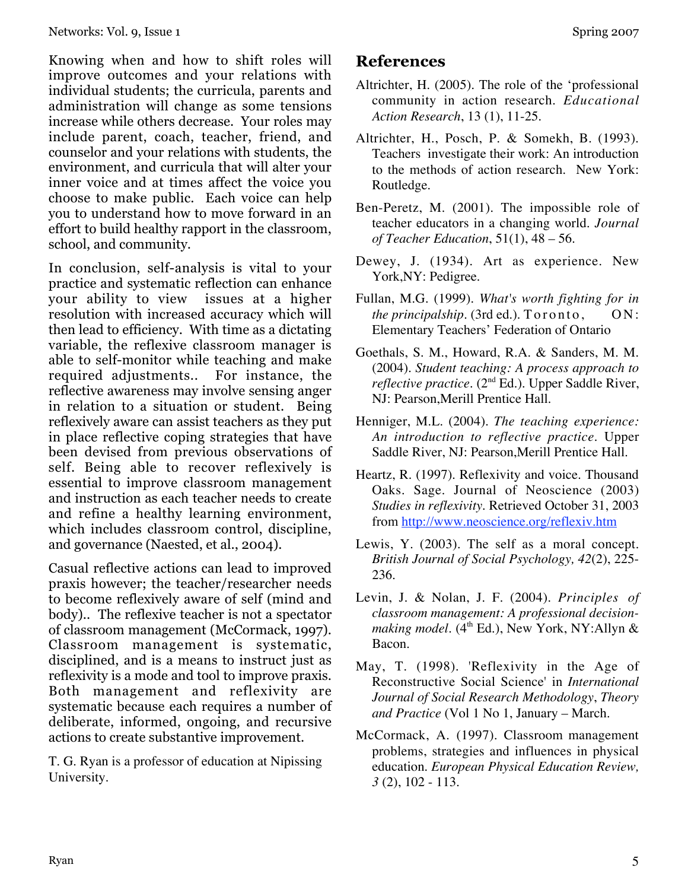Knowing when and how to shift roles will improve outcomes and your relations with individual students; the curricula, parents and administration will change as some tensions increase while others decrease. Your roles may include parent, coach, teacher, friend, and counselor and your relations with students, the environment, and curricula that will alter your inner voice and at times affect the voice you choose to make public. Each voice can help you to understand how to move forward in an effort to build healthy rapport in the classroom, school, and community.

In conclusion, self-analysis is vital to your practice and systematic reflection can enhance your ability to view issues at a higher resolution with increased accuracy which will then lead to efficiency. With time as a dictating variable, the reflexive classroom manager is able to self-monitor while teaching and make required adjustments.. For instance, the reflective awareness may involve sensing anger in relation to a situation or student. Being reflexively aware can assist teachers as they put in place reflective coping strategies that have been devised from previous observations of self. Being able to recover reflexively is essential to improve classroom management and instruction as each teacher needs to create and refine a healthy learning environment, which includes classroom control, discipline, and governance (Naested, et al., 2004).

Casual reflective actions can lead to improved praxis however; the teacher/researcher needs to become reflexively aware of self (mind and body).. The reflexive teacher is not a spectator of classroom management (McCormack, 1997). Classroom management is systematic, disciplined, and is a means to instruct just as reflexivity is a mode and tool to improve praxis. Both management and reflexivity are systematic because each requires a number of deliberate, informed, ongoing, and recursive actions to create substantive improvement.

T. G. Ryan is a professor of education at Nipissing University.

## **References**

- Altrichter, H. (2005). The role of the 'professional community in action research. *Educational Action Research*, 13 (1), 11-25.
- Altrichter, H., Posch, P. & Somekh, B. (1993). Teachers investigate their work: An introduction to the methods of action research. New York: Routledge.
- Ben-Peretz, M. (2001). The impossible role of teacher educators in a changing world. *Journal of Teacher Education*, 51(1), 48 – 56.
- Dewey, J. (1934). Art as experience. New York,NY: Pedigree.
- Fullan, M.G. (1999). *What's worth fighting for in the principalship*. (3rd ed.). Toronto, ON: Elementary Teachers' Federation of Ontario
- Goethals, S. M., Howard, R.A. & Sanders, M. M. (2004). *Student teaching: A process approach to reflective practice.* (2nd Ed.). Upper Saddle River, NJ: Pearson,Merill Prentice Hall.
- Henniger, M.L. (2004). *The teaching experience: An introduction to reflective practice.* Upper Saddle River, NJ: Pearson,Merill Prentice Hall.
- Heartz, R. (1997). Reflexivity and voice. Thousand Oaks. Sage. Journal of Neoscience (2003) *Studies in reflexivity*. Retrieved October 31, 2003 from http://www.neoscience.org/reflexiv.htm
- Lewis, Y. (2003). The self as a moral concept. *British Journal of Social Psychology, 42*(2), 225- 236.
- Levin, J. & Nolan, J. F. (2004). *Principles of classroom management: A professional decisionmaking model.* (4<sup>th</sup> Ed.), New York, NY:Allyn & Bacon.
- May, T. (1998). 'Reflexivity in the Age of Reconstructive Social Science' in *International Journal of Social Research Methodology*, *Theory and Practice* (Vol 1 No 1, January – March.
- McCormack, A. (1997). Classroom management problems, strategies and influences in physical education. *European Physical Education Review, 3* (2), 102 - 113.